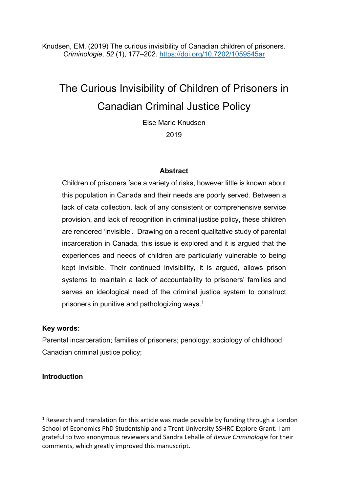Knudsen, EM. (2019) The curious invisibility of Canadian children of prisoners*. Criminologie*, *52* (1), 177–202. https://doi.org/10.7202/1059545ar

# The Curious Invisibility of Children of Prisoners in Canadian Criminal Justice Policy

Else Marie Knudsen

2019

#### **Abstract**

Children of prisoners face a variety of risks, however little is known about this population in Canada and their needs are poorly served. Between a lack of data collection, lack of any consistent or comprehensive service provision, and lack of recognition in criminal justice policy, these children are rendered 'invisible'. Drawing on a recent qualitative study of parental incarceration in Canada, this issue is explored and it is argued that the experiences and needs of children are particularly vulnerable to being kept invisible. Their continued invisibility, it is argued, allows prison systems to maintain a lack of accountability to prisoners' families and serves an ideological need of the criminal justice system to construct prisoners in punitive and pathologizing ways.1

#### **Key words:**

Parental incarceration; families of prisoners; penology; sociology of childhood; Canadian criminal justice policy;

#### **Introduction**

 $1$  Research and translation for this article was made possible by funding through a London School of Economics PhD Studentship and a Trent University SSHRC Explore Grant. I am grateful to two anonymous reviewers and Sandra Lehalle of *Revue Criminologie* for their comments, which greatly improved this manuscript.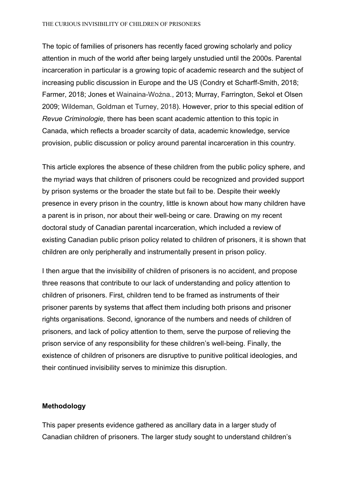#### THE CURIOUS INVISIBILITY OF CHILDREN OF PRISONERS

The topic of families of prisoners has recently faced growing scholarly and policy attention in much of the world after being largely unstudied until the 2000s. Parental incarceration in particular is a growing topic of academic research and the subject of increasing public discussion in Europe and the US (Condry et Scharff-Smith, 2018; Farmer, 2018; Jones et Wainaina-Woźna*.*, 2013; Murray, Farrington, Sekol et Olsen 2009; Wildeman, Goldman et Turney, 2018). However, prior to this special edition of *Revue Criminologie,* there has been scant academic attention to this topic in Canada, which reflects a broader scarcity of data, academic knowledge, service provision, public discussion or policy around parental incarceration in this country.

This article explores the absence of these children from the public policy sphere, and the myriad ways that children of prisoners could be recognized and provided support by prison systems or the broader the state but fail to be. Despite their weekly presence in every prison in the country, little is known about how many children have a parent is in prison, nor about their well-being or care. Drawing on my recent doctoral study of Canadian parental incarceration, which included a review of existing Canadian public prison policy related to children of prisoners, it is shown that children are only peripherally and instrumentally present in prison policy.

I then argue that the invisibility of children of prisoners is no accident, and propose three reasons that contribute to our lack of understanding and policy attention to children of prisoners. First, children tend to be framed as instruments of their prisoner parents by systems that affect them including both prisons and prisoner rights organisations. Second, ignorance of the numbers and needs of children of prisoners, and lack of policy attention to them, serve the purpose of relieving the prison service of any responsibility for these children's well-being. Finally, the existence of children of prisoners are disruptive to punitive political ideologies, and their continued invisibility serves to minimize this disruption.

#### **Methodology**

This paper presents evidence gathered as ancillary data in a larger study of Canadian children of prisoners. The larger study sought to understand children's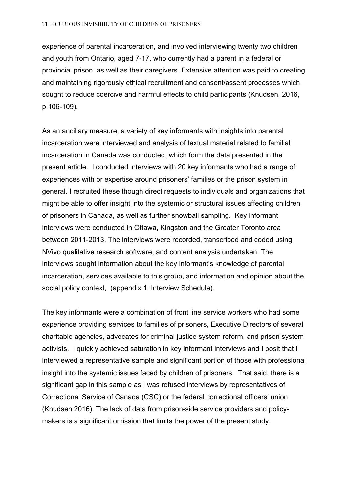experience of parental incarceration, and involved interviewing twenty two children and youth from Ontario, aged 7-17, who currently had a parent in a federal or provincial prison, as well as their caregivers. Extensive attention was paid to creating and maintaining rigorously ethical recruitment and consent/assent processes which sought to reduce coercive and harmful effects to child participants (Knudsen, 2016, p.106-109).

As an ancillary measure, a variety of key informants with insights into parental incarceration were interviewed and analysis of textual material related to familial incarceration in Canada was conducted, which form the data presented in the present article. I conducted interviews with 20 key informants who had a range of experiences with or expertise around prisoners' families or the prison system in general. I recruited these though direct requests to individuals and organizations that might be able to offer insight into the systemic or structural issues affecting children of prisoners in Canada, as well as further snowball sampling. Key informant interviews were conducted in Ottawa, Kingston and the Greater Toronto area between 2011-2013. The interviews were recorded, transcribed and coded using NVivo qualitative research software, and content analysis undertaken. The interviews sought information about the key informant's knowledge of parental incarceration, services available to this group, and information and opinion about the social policy context, (appendix 1: Interview Schedule).

The key informants were a combination of front line service workers who had some experience providing services to families of prisoners, Executive Directors of several charitable agencies, advocates for criminal justice system reform, and prison system activists. I quickly achieved saturation in key informant interviews and I posit that I interviewed a representative sample and significant portion of those with professional insight into the systemic issues faced by children of prisoners. That said, there is a significant gap in this sample as I was refused interviews by representatives of Correctional Service of Canada (CSC) or the federal correctional officers' union (Knudsen 2016). The lack of data from prison-side service providers and policymakers is a significant omission that limits the power of the present study.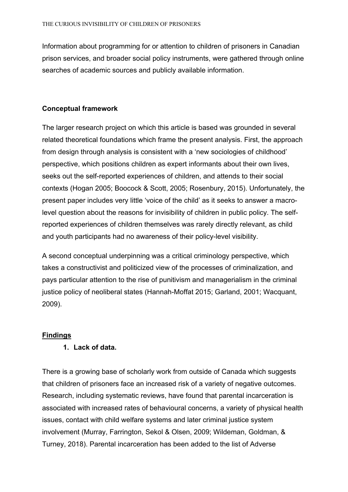Information about programming for or attention to children of prisoners in Canadian prison services, and broader social policy instruments, were gathered through online searches of academic sources and publicly available information.

## **Conceptual framework**

The larger research project on which this article is based was grounded in several related theoretical foundations which frame the present analysis. First, the approach from design through analysis is consistent with a 'new sociologies of childhood' perspective, which positions children as expert informants about their own lives, seeks out the self-reported experiences of children, and attends to their social contexts (Hogan 2005; Boocock & Scott, 2005; Rosenbury, 2015). Unfortunately, the present paper includes very little 'voice of the child' as it seeks to answer a macrolevel question about the reasons for invisibility of children in public policy. The selfreported experiences of children themselves was rarely directly relevant, as child and youth participants had no awareness of their policy-level visibility.

A second conceptual underpinning was a critical criminology perspective, which takes a constructivist and politicized view of the processes of criminalization, and pays particular attention to the rise of punitivism and managerialism in the criminal justice policy of neoliberal states (Hannah-Moffat 2015; Garland, 2001; Wacquant, 2009).

#### **Findings**

## **1. Lack of data.**

There is a growing base of scholarly work from outside of Canada which suggests that children of prisoners face an increased risk of a variety of negative outcomes. Research, including systematic reviews, have found that parental incarceration is associated with increased rates of behavioural concerns, a variety of physical health issues, contact with child welfare systems and later criminal justice system involvement (Murray, Farrington, Sekol & Olsen, 2009; Wildeman, Goldman, & Turney, 2018). Parental incarceration has been added to the list of Adverse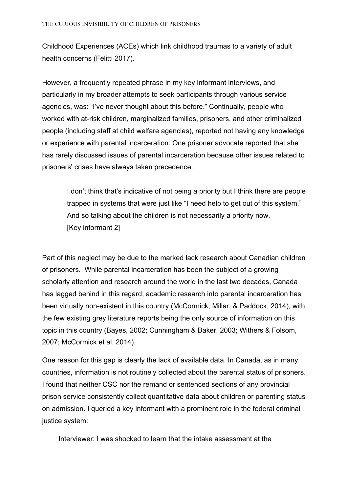Childhood Experiences (ACEs) which link childhood traumas to a variety of adult health concerns (Felitti 2017).

However, a frequently repeated phrase in my key informant interviews, and particularly in my broader attempts to seek participants through various service agencies, was: "I've never thought about this before." Continually, people who worked with at-risk children, marginalized families, prisoners, and other criminalized people (including staff at child welfare agencies), reported not having any knowledge or experience with parental incarceration. One prisoner advocate reported that she has rarely discussed issues of parental incarceration because other issues related to prisoners' crises have always taken precedence:

I don't think that's indicative of not being a priority but I think there are people trapped in systems that were just like "I need help to get out of this system." And so talking about the children is not necessarily a priority now. [Key informant 2]

Part of this neglect may be due to the marked lack research about Canadian children of prisoners. While parental incarceration has been the subject of a growing scholarly attention and research around the world in the last two decades, Canada has lagged behind in this regard; academic research into parental incarceration has been virtually non-existent in this country (McCormick, Millar, & Paddock, 2014), with the few existing grey literature reports being the only source of information on this topic in this country (Bayes, 2002; Cunningham & Baker, 2003; Withers & Folsom, 2007; McCormick et al. 2014).

One reason for this gap is clearly the lack of available data. In Canada, as in many countries, information is not routinely collected about the parental status of prisoners. I found that neither CSC nor the remand or sentenced sections of any provincial prison service consistently collect quantitative data about children or parenting status on admission. I queried a key informant with a prominent role in the federal criminal justice system:

Interviewer: I was shocked to learn that the intake assessment at the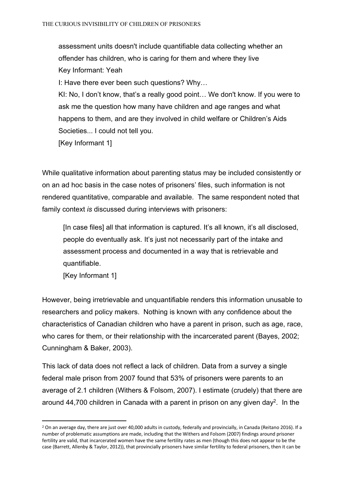assessment units doesn't include quantifiable data collecting whether an offender has children, who is caring for them and where they live Key Informant: Yeah

I: Have there ever been such questions? Why…

KI: No, I don't know, that's a really good point… We don't know. If you were to ask me the question how many have children and age ranges and what happens to them, and are they involved in child welfare or Children's Aids Societies... I could not tell you.

[Key Informant 1]

While qualitative information about parenting status may be included consistently or on an ad hoc basis in the case notes of prisoners' files, such information is not rendered quantitative, comparable and available. The same respondent noted that family context *is* discussed during interviews with prisoners:

[In case files] all that information is captured. It's all known, it's all disclosed, people do eventually ask. It's just not necessarily part of the intake and assessment process and documented in a way that is retrievable and quantifiable.

[Key Informant 1]

However, being irretrievable and unquantifiable renders this information unusable to researchers and policy makers. Nothing is known with any confidence about the characteristics of Canadian children who have a parent in prison, such as age, race, who cares for them, or their relationship with the incarcerated parent (Bayes, 2002; Cunningham & Baker, 2003).

This lack of data does not reflect a lack of children. Data from a survey a single federal male prison from 2007 found that 53% of prisoners were parents to an average of 2.1 children (Withers & Folsom, 2007). I estimate (crudely) that there are around 44,700 children in Canada with a parent in prison on any given day<sup>2</sup>. In the

<sup>&</sup>lt;sup>2</sup> On an average day, there are just over 40,000 adults in custody, federally and provincially, in Canada (Reitano 2016). If a number of problematic assumptions are made, including that the Withers and Folsom (2007) findings around prisoner fertility are valid, that incarcerated women have the same fertility rates as men (though this does not appear to be the case (Barrett, Allenby & Taylor, 2012)), that provincially prisoners have similar fertility to federal prisoners, then it can be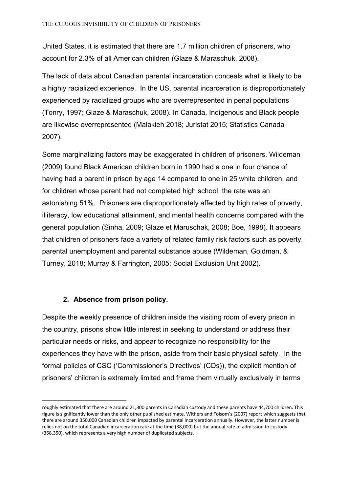United States, it is estimated that there are 1.7 million children of prisoners, who account for 2.3% of all American children (Glaze & Maraschuk, 2008).

The lack of data about Canadian parental incarceration conceals what is likely to be a highly racialized experience. In the US, parental incarceration is disproportionately experienced by racialized groups who are overrepresented in penal populations (Tonry, 1997; Glaze & Maraschuk, 2008). In Canada, Indigenous and Black people are likewise overrepresented (Malakieh 2018; Juristat 2015; Statistics Canada 2007).

Some marginalizing factors may be exaggerated in children of prisoners. Wildeman (2009) found Black American children born in 1990 had a one in four chance of having had a parent in prison by age 14 compared to one in 25 white children, and for children whose parent had not completed high school, the rate was an astonishing 51%. Prisoners are disproportionately affected by high rates of poverty, illiteracy, low educational attainment, and mental health concerns compared with the general population (Sinha, 2009; Glaze et Maruschak, 2008; Boe, 1998). It appears that children of prisoners face a variety of related family risk factors such as poverty, parental unemployment and parental substance abuse (Wildeman, Goldman, & Turney, 2018; Murray & Farrington, 2005; Social Exclusion Unit 2002).

#### **2. Absence from prison policy.**

Despite the weekly presence of children inside the visiting room of every prison in the country, prisons show little interest in seeking to understand or address their particular needs or risks, and appear to recognize no responsibility for the experiences they have with the prison, aside from their basic physical safety. In the formal policies of CSC ('Commissioner's Directives' (CDs)), the explicit mention of prisoners' children is extremely limited and frame them virtually exclusively in terms

roughly estimated that there are around 21,300 parents in Canadian custody and these parents have 44,700 children. This figure is significantly lower than the only other published estimate, Withers and Folsom's (2007) report which suggests that there are around 350,000 Canadian children impacted by parental incarceration annually. However, the latter number is relies not on the total Canadian incarceration rate at the time (38,000) but the annual rate of admission to custody (358,350), which represents a very high number of duplicated subjects.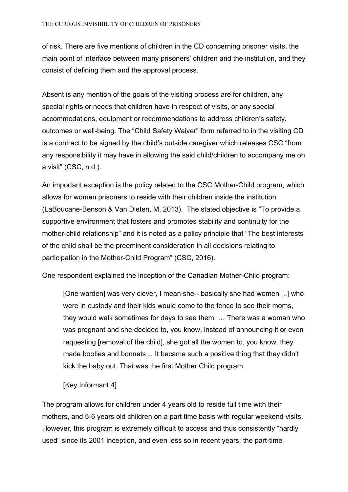of risk. There are five mentions of children in the CD concerning prisoner visits, the main point of interface between many prisoners' children and the institution, and they consist of defining them and the approval process.

Absent is any mention of the goals of the visiting process are for children, any special rights or needs that children have in respect of visits, or any special accommodations, equipment or recommendations to address children's safety, outcomes or well-being. The "Child Safety Waiver" form referred to in the visiting CD is a contract to be signed by the child's outside caregiver which releases CSC "from any responsibility it may have in allowing the said child/children to accompany me on a visit" (CSC, n.d.).

An important exception is the policy related to the CSC Mother-Child program, which allows for women prisoners to reside with their children inside the institution (LaBoucane-Benson & Van Dieten, M. 2013). The stated objective is "To provide a supportive environment that fosters and promotes stability and continuity for the mother-child relationship" and it is noted as a policy principle that "The best interests of the child shall be the preeminent consideration in all decisions relating to participation in the Mother-Child Program" (CSC, 2016).

One respondent explained the inception of the Canadian Mother-Child program:

[One warden] was very clever, I mean she-- basically she had women [..] who were in custody and their kids would come to the fence to see their moms, they would walk sometimes for days to see them. … There was a woman who was pregnant and she decided to, you know, instead of announcing it or even requesting [removal of the child], she got all the women to, you know, they made booties and bonnets… It became such a positive thing that they didn't kick the baby out. That was the first Mother Child program.

#### [Key Informant 4]

The program allows for children under 4 years old to reside full time with their mothers, and 5-6 years old children on a part time basis with regular weekend visits. However, this program is extremely difficult to access and thus consistently "hardly used" since its 2001 inception, and even less so in recent years; the part-time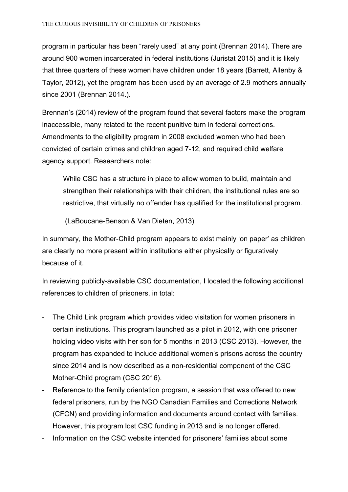program in particular has been "rarely used" at any point (Brennan 2014). There are around 900 women incarcerated in federal institutions (Juristat 2015) and it is likely that three quarters of these women have children under 18 years (Barrett, Allenby & Taylor, 2012), yet the program has been used by an average of 2.9 mothers annually since 2001 (Brennan 2014.).

Brennan's (2014) review of the program found that several factors make the program inaccessible, many related to the recent punitive turn in federal corrections. Amendments to the eligibility program in 2008 excluded women who had been convicted of certain crimes and children aged 7-12, and required child welfare agency support. Researchers note:

While CSC has a structure in place to allow women to build, maintain and strengthen their relationships with their children, the institutional rules are so restrictive, that virtually no offender has qualified for the institutional program.

(LaBoucane-Benson & Van Dieten, 2013)

In summary, the Mother-Child program appears to exist mainly 'on paper' as children are clearly no more present within institutions either physically or figuratively because of it.

In reviewing publicly-available CSC documentation, I located the following additional references to children of prisoners, in total:

- The Child Link program which provides video visitation for women prisoners in certain institutions. This program launched as a pilot in 2012, with one prisoner holding video visits with her son for 5 months in 2013 (CSC 2013). However, the program has expanded to include additional women's prisons across the country since 2014 and is now described as a non-residential component of the CSC Mother-Child program (CSC 2016).
- Reference to the family orientation program, a session that was offered to new federal prisoners, run by the NGO Canadian Families and Corrections Network (CFCN) and providing information and documents around contact with families. However, this program lost CSC funding in 2013 and is no longer offered.
- Information on the CSC website intended for prisoners' families about some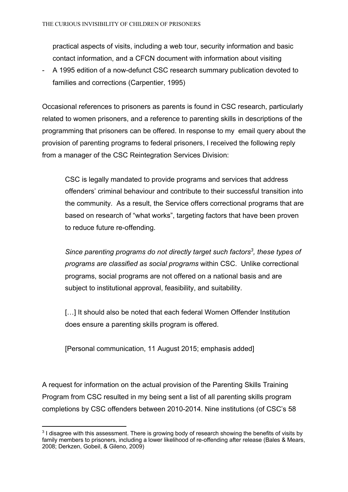practical aspects of visits, including a web tour, security information and basic contact information, and a CFCN document with information about visiting

- A 1995 edition of a now-defunct CSC research summary publication devoted to families and corrections (Carpentier, 1995)

Occasional references to prisoners as parents is found in CSC research, particularly related to women prisoners, and a reference to parenting skills in descriptions of the programming that prisoners can be offered. In response to my email query about the provision of parenting programs to federal prisoners, I received the following reply from a manager of the CSC Reintegration Services Division:

CSC is legally mandated to provide programs and services that address offenders' criminal behaviour and contribute to their successful transition into the community. As a result, the Service offers correctional programs that are based on research of "what works", targeting factors that have been proven to reduce future re-offending.

*Since parenting programs do not directly target such factors<sup>3</sup>, these types of programs are classified as social programs* within CSC. Unlike correctional programs, social programs are not offered on a national basis and are subject to institutional approval, feasibility, and suitability.

[...] It should also be noted that each federal Women Offender Institution does ensure a parenting skills program is offered.

[Personal communication, 11 August 2015; emphasis added]

A request for information on the actual provision of the Parenting Skills Training Program from CSC resulted in my being sent a list of all parenting skills program completions by CSC offenders between 2010-2014. Nine institutions (of CSC's 58

<sup>&</sup>lt;sup>3</sup> I disagree with this assessment. There is growing body of research showing the benefits of visits by family members to prisoners, including a lower likelihood of re-offending after release (Bales & Mears, 2008; Derkzen, Gobeil, & Gileno, 2009)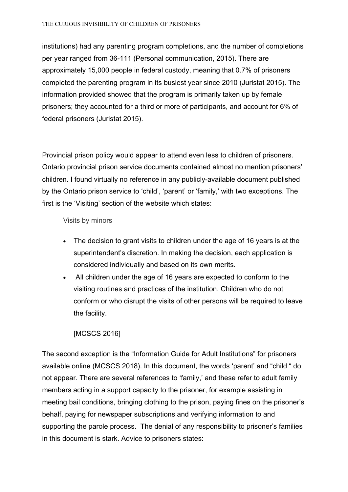institutions) had any parenting program completions, and the number of completions per year ranged from 36-111 (Personal communication, 2015). There are approximately 15,000 people in federal custody, meaning that 0.7% of prisoners completed the parenting program in its busiest year since 2010 (Juristat 2015). The information provided showed that the program is primarily taken up by female prisoners; they accounted for a third or more of participants, and account for 6% of federal prisoners (Juristat 2015).

Provincial prison policy would appear to attend even less to children of prisoners. Ontario provincial prison service documents contained almost no mention prisoners' children. I found virtually no reference in any publicly-available document published by the Ontario prison service to 'child', 'parent' or 'family,' with two exceptions. The first is the 'Visiting' section of the website which states:

Visits by minors

- The decision to grant visits to children under the age of 16 years is at the superintendent's discretion. In making the decision, each application is considered individually and based on its own merits.
- All children under the age of 16 years are expected to conform to the visiting routines and practices of the institution. Children who do not conform or who disrupt the visits of other persons will be required to leave the facility.

# [MCSCS 2016]

The second exception is the "Information Guide for Adult Institutions" for prisoners available online (MCSCS 2018). In this document, the words 'parent' and "child " do not appear. There are several references to 'family,' and these refer to adult family members acting in a support capacity to the prisoner, for example assisting in meeting bail conditions, bringing clothing to the prison, paying fines on the prisoner's behalf, paying for newspaper subscriptions and verifying information to and supporting the parole process. The denial of any responsibility to prisoner's families in this document is stark. Advice to prisoners states: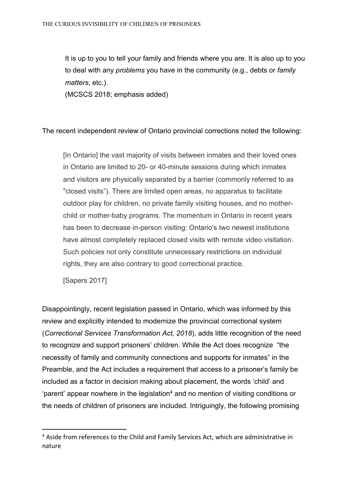It is up to you to tell your family and friends where you are. It is also up to you to deal with any *problems* you have in the community (e.g., debts or *family matters*, etc.).

(MCSCS 2018; emphasis added)

The recent independent review of Ontario provincial corrections noted the following:

[In Ontario] the vast majority of visits between inmates and their loved ones in Ontario are limited to 20- or 40-minute sessions during which inmates and visitors are physically separated by a barrier (commonly referred to as "closed visits"). There are limited open areas, no apparatus to facilitate outdoor play for children, no private family visiting houses, and no motherchild or mother-baby programs. The momentum in Ontario in recent years has been to decrease in-person visiting: Ontario's two newest institutions have almost completely replaced closed visits with remote video visitation. Such policies not only constitute unnecessary restrictions on individual rights, they are also contrary to good correctional practice.

[Sapers 2017]

Disappointingly, recent legislation passed in Ontario, which was informed by this review and explicitly intended to modernize the provincial correctional system (*Correctional Services Transformation Act, 2018*), adds little recognition of the need to recognize and support prisoners' children. While the Act does recognize "the necessity of family and community connections and supports for inmates" in the Preamble, and the Act includes a requirement that access to a prisoner's family be included as a factor in decision making about placement, the words 'child' and 'parent' appear nowhere in the legislation<sup>4</sup> and no mention of visiting conditions or the needs of children of prisoners are included. Intriguingly, the following promising

<sup>&</sup>lt;sup>4</sup> Aside from references to the Child and Family Services Act, which are administrative in nature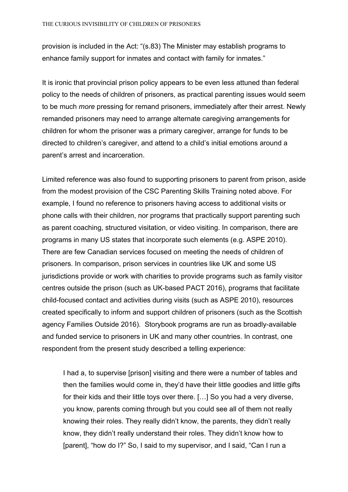provision is included in the Act: "(s.83) The Minister may establish programs to enhance family support for inmates and contact with family for inmates."

It is ironic that provincial prison policy appears to be even less attuned than federal policy to the needs of children of prisoners, as practical parenting issues would seem to be much *more* pressing for remand prisoners, immediately after their arrest. Newly remanded prisoners may need to arrange alternate caregiving arrangements for children for whom the prisoner was a primary caregiver, arrange for funds to be directed to children's caregiver, and attend to a child's initial emotions around a parent's arrest and incarceration.

Limited reference was also found to supporting prisoners to parent from prison, aside from the modest provision of the CSC Parenting Skills Training noted above. For example, I found no reference to prisoners having access to additional visits or phone calls with their children, nor programs that practically support parenting such as parent coaching, structured visitation, or video visiting. In comparison, there are programs in many US states that incorporate such elements (e.g. ASPE 2010). There are few Canadian services focused on meeting the needs of children of prisoners. In comparison, prison services in countries like UK and some US jurisdictions provide or work with charities to provide programs such as family visitor centres outside the prison (such as UK-based PACT 2016), programs that facilitate child-focused contact and activities during visits (such as ASPE 2010), resources created specifically to inform and support children of prisoners (such as the Scottish agency Families Outside 2016). Storybook programs are run as broadly-available and funded service to prisoners in UK and many other countries. In contrast, one respondent from the present study described a telling experience:

I had a, to supervise [prison] visiting and there were a number of tables and then the families would come in, they'd have their little goodies and little gifts for their kids and their little toys over there. […] So you had a very diverse, you know, parents coming through but you could see all of them not really knowing their roles. They really didn't know, the parents, they didn't really know, they didn't really understand their roles. They didn't know how to [parent], "how do I?" So, I said to my supervisor, and I said, "Can I run a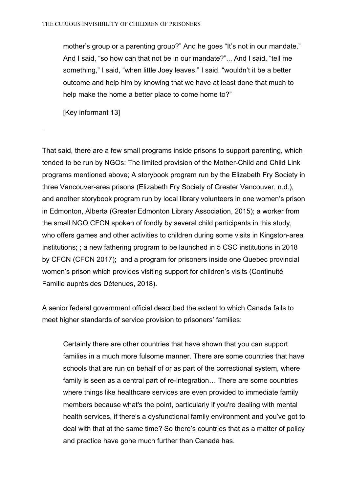mother's group or a parenting group?" And he goes "It's not in our mandate." And I said, "so how can that not be in our mandate?"... And I said, "tell me something," I said, "when little Joey leaves," I said, "wouldn't it be a better outcome and help him by knowing that we have at least done that much to help make the home a better place to come home to?"

[Key informant 13]

That said, there are a few small programs inside prisons to support parenting, which tended to be run by NGOs: The limited provision of the Mother-Child and Child Link programs mentioned above; A storybook program run by the Elizabeth Fry Society in three Vancouver-area prisons (Elizabeth Fry Society of Greater Vancouver, n.d.), and another storybook program run by local library volunteers in one women's prison in Edmonton, Alberta (Greater Edmonton Library Association, 2015); a worker from the small NGO CFCN spoken of fondly by several child participants in this study, who offers games and other activities to children during some visits in Kingston-area Institutions; ; a new fathering program to be launched in 5 CSC institutions in 2018 by CFCN (CFCN 2017); and a program for prisoners inside one Quebec provincial women's prison which provides visiting support for children's visits (Continuité Famille auprès des Détenues, 2018).

A senior federal government official described the extent to which Canada fails to meet higher standards of service provision to prisoners' families:

Certainly there are other countries that have shown that you can support families in a much more fulsome manner. There are some countries that have schools that are run on behalf of or as part of the correctional system, where family is seen as a central part of re-integration… There are some countries where things like healthcare services are even provided to immediate family members because what's the point, particularly if you're dealing with mental health services, if there's a dysfunctional family environment and you've got to deal with that at the same time? So there's countries that as a matter of policy and practice have gone much further than Canada has.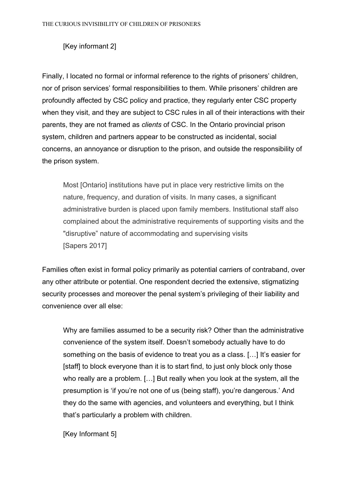## [Key informant 2]

Finally, I located no formal or informal reference to the rights of prisoners' children, nor of prison services' formal responsibilities to them. While prisoners' children are profoundly affected by CSC policy and practice, they regularly enter CSC property when they visit, and they are subject to CSC rules in all of their interactions with their parents, they are not framed as *clients* of CSC. In the Ontario provincial prison system, children and partners appear to be constructed as incidental, social concerns, an annoyance or disruption to the prison, and outside the responsibility of the prison system.

Most [Ontario] institutions have put in place very restrictive limits on the nature, frequency, and duration of visits. In many cases, a significant administrative burden is placed upon family members. Institutional staff also complained about the administrative requirements of supporting visits and the "disruptive" nature of accommodating and supervising visits [Sapers 2017]

Families often exist in formal policy primarily as potential carriers of contraband, over any other attribute or potential. One respondent decried the extensive, stigmatizing security processes and moreover the penal system's privileging of their liability and convenience over all else:

Why are families assumed to be a security risk? Other than the administrative convenience of the system itself. Doesn't somebody actually have to do something on the basis of evidence to treat you as a class. […] It's easier for [staff] to block everyone than it is to start find, to just only block only those who really are a problem. […] But really when you look at the system, all the presumption is 'if you're not one of us (being staff), you're dangerous.' And they do the same with agencies, and volunteers and everything, but I think that's particularly a problem with children.

[Key Informant 5]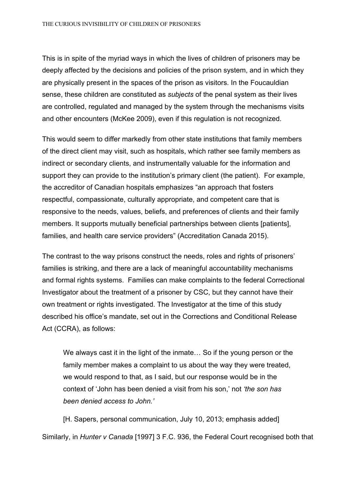This is in spite of the myriad ways in which the lives of children of prisoners may be deeply affected by the decisions and policies of the prison system, and in which they are physically present in the spaces of the prison as visitors. In the Foucauldian sense, these children are constituted as *subjects* of the penal system as their lives are controlled, regulated and managed by the system through the mechanisms visits and other encounters (McKee 2009), even if this regulation is not recognized.

This would seem to differ markedly from other state institutions that family members of the direct client may visit, such as hospitals, which rather see family members as indirect or secondary clients, and instrumentally valuable for the information and support they can provide to the institution's primary client (the patient). For example, the accreditor of Canadian hospitals emphasizes "an approach that fosters respectful, compassionate, culturally appropriate, and competent care that is responsive to the needs, values, beliefs, and preferences of clients and their family members. It supports mutually beneficial partnerships between clients [patients], families, and health care service providers" (Accreditation Canada 2015).

The contrast to the way prisons construct the needs, roles and rights of prisoners' families is striking, and there are a lack of meaningful accountability mechanisms and formal rights systems. Families can make complaints to the federal Correctional Investigator about the treatment of a prisoner by CSC, but they cannot have their own treatment or rights investigated. The Investigator at the time of this study described his office's mandate, set out in the Corrections and Conditional Release Act (CCRA), as follows:

We always cast it in the light of the inmate… So if the young person or the family member makes a complaint to us about the way they were treated, we would respond to that, as I said, but our response would be in the context of 'John has been denied a visit from his son,' not *'the son has been denied access to John.'*

[H. Sapers, personal communication, July 10, 2013; emphasis added] Similarly, in *Hunter v Canada* [1997] 3 F.C. 936, the Federal Court recognised both that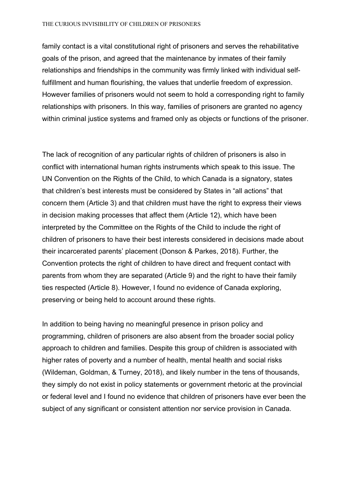family contact is a vital constitutional right of prisoners and serves the rehabilitative goals of the prison, and agreed that the maintenance by inmates of their family relationships and friendships in the community was firmly linked with individual selffulfillment and human flourishing, the values that underlie freedom of expression. However families of prisoners would not seem to hold a corresponding right to family relationships with prisoners. In this way, families of prisoners are granted no agency within criminal justice systems and framed only as objects or functions of the prisoner.

The lack of recognition of any particular rights of children of prisoners is also in conflict with international human rights instruments which speak to this issue. The UN Convention on the Rights of the Child, to which Canada is a signatory, states that children's best interests must be considered by States in "all actions" that concern them (Article 3) and that children must have the right to express their views in decision making processes that affect them (Article 12), which have been interpreted by the Committee on the Rights of the Child to include the right of children of prisoners to have their best interests considered in decisions made about their incarcerated parents' placement (Donson & Parkes, 2018). Further, the Convention protects the right of children to have direct and frequent contact with parents from whom they are separated (Article 9) and the right to have their family ties respected (Article 8). However, I found no evidence of Canada exploring, preserving or being held to account around these rights.

In addition to being having no meaningful presence in prison policy and programming, children of prisoners are also absent from the broader social policy approach to children and families. Despite this group of children is associated with higher rates of poverty and a number of health, mental health and social risks (Wildeman, Goldman, & Turney, 2018), and likely number in the tens of thousands, they simply do not exist in policy statements or government rhetoric at the provincial or federal level and I found no evidence that children of prisoners have ever been the subject of any significant or consistent attention nor service provision in Canada.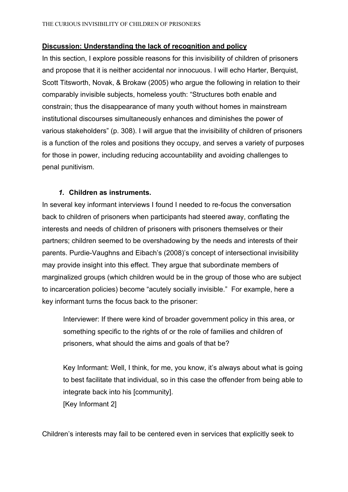### **Discussion: Understanding the lack of recognition and policy**

In this section, I explore possible reasons for this invisibility of children of prisoners and propose that it is neither accidental nor innocuous. I will echo Harter, Berquist, Scott Titsworth, Novak, & Brokaw (2005) who argue the following in relation to their comparably invisible subjects, homeless youth: "Structures both enable and constrain; thus the disappearance of many youth without homes in mainstream institutional discourses simultaneously enhances and diminishes the power of various stakeholders" (p. 308). I will argue that the invisibility of children of prisoners is a function of the roles and positions they occupy, and serves a variety of purposes for those in power, including reducing accountability and avoiding challenges to penal punitivism.

#### *1.* **Children as instruments.**

In several key informant interviews I found I needed to re-focus the conversation back to children of prisoners when participants had steered away, conflating the interests and needs of children of prisoners with prisoners themselves or their partners; children seemed to be overshadowing by the needs and interests of their parents. Purdie-Vaughns and Eibach's (2008)'s concept of intersectional invisibility may provide insight into this effect. They argue that subordinate members of marginalized groups (which children would be in the group of those who are subject to incarceration policies) become "acutely socially invisible." For example, here a key informant turns the focus back to the prisoner:

Interviewer: If there were kind of broader government policy in this area, or something specific to the rights of or the role of families and children of prisoners, what should the aims and goals of that be?

Key Informant: Well, I think, for me, you know, it's always about what is going to best facilitate that individual, so in this case the offender from being able to integrate back into his [community]. [Key Informant 2]

Children's interests may fail to be centered even in services that explicitly seek to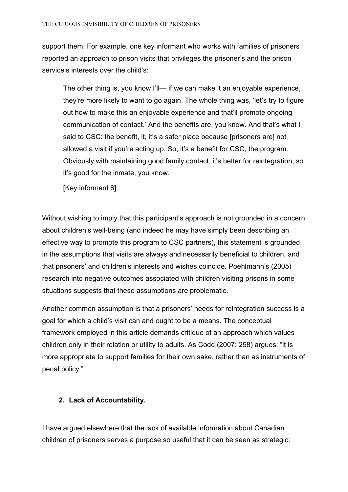support them. For example, one key informant who works with families of prisoners reported an approach to prison visits that privileges the prisoner's and the prison service's interests over the child's:

The other thing is, you know I'll— if we can make it an enjoyable experience, they're more likely to want to go again. The whole thing was, 'let's try to figure out how to make this an enjoyable experience and that'll promote ongoing communication of contact.' And the benefits are, you know. And that's what I said to CSC: the benefit, it, it's a safer place because [prisoners are] not allowed a visit if you're acting up. So, it's a benefit for CSC, the program. Obviously with maintaining good family contact, it's better for reintegration, so it's good for the inmate, you know.

[Key informant 6]

Without wishing to imply that this participant's approach is not grounded in a concern about children's well-being (and indeed he may have simply been describing an effective way to promote this program to CSC partners), this statement is grounded in the assumptions that visits are always and necessarily beneficial to children, and that prisoners' and children's interests and wishes coincide. Poehlmann's (2005) research into negative outcomes associated with children visiting prisons in some situations suggests that these assumptions are problematic.

Another common assumption is that a prisoners' needs for reintegration success is a goal for which a child's visit can and ought to be a means. The conceptual framework employed in this article demands critique of an approach which values children only in their relation or utility to adults. As Codd (2007: 258) argues: "it is more appropriate to support families for their own sake, rather than as instruments of penal policy."

## *2.* **Lack of Accountability.**

I have argued elsewhere that the lack of available information about Canadian children of prisoners serves a purpose so useful that it can be seen as strategic: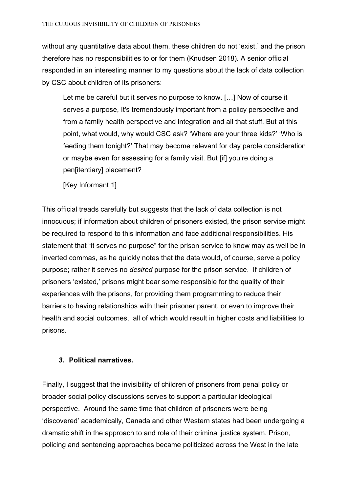without any quantitative data about them, these children do not 'exist,' and the prison therefore has no responsibilities to or for them (Knudsen 2018). A senior official responded in an interesting manner to my questions about the lack of data collection by CSC about children of its prisoners:

Let me be careful but it serves no purpose to know. […] Now of course it serves a purpose, It's tremendously important from a policy perspective and from a family health perspective and integration and all that stuff. But at this point, what would, why would CSC ask? 'Where are your three kids?' 'Who is feeding them tonight?' That may become relevant for day parole consideration or maybe even for assessing for a family visit. But [if] you're doing a pen[itentiary] placement?

[Key Informant 1]

This official treads carefully but suggests that the lack of data collection is not innocuous; if information about children of prisoners existed, the prison service might be required to respond to this information and face additional responsibilities. His statement that "it serves no purpose" for the prison service to know may as well be in inverted commas, as he quickly notes that the data would, of course, serve a policy purpose; rather it serves no *desired* purpose for the prison service. If children of prisoners 'existed,' prisons might bear some responsible for the quality of their experiences with the prisons, for providing them programming to reduce their barriers to having relationships with their prisoner parent, or even to improve their health and social outcomes, all of which would result in higher costs and liabilities to prisons.

## *3.* **Political narratives.**

Finally, I suggest that the invisibility of children of prisoners from penal policy or broader social policy discussions serves to support a particular ideological perspective. Around the same time that children of prisoners were being 'discovered' academically, Canada and other Western states had been undergoing a dramatic shift in the approach to and role of their criminal justice system. Prison, policing and sentencing approaches became politicized across the West in the late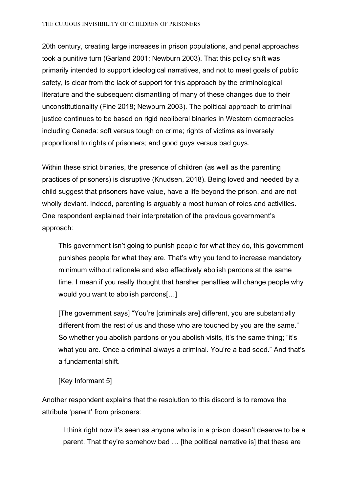20th century, creating large increases in prison populations, and penal approaches took a punitive turn (Garland 2001; Newburn 2003). That this policy shift was primarily intended to support ideological narratives, and not to meet goals of public safety, is clear from the lack of support for this approach by the criminological literature and the subsequent dismantling of many of these changes due to their unconstitutionality (Fine 2018; Newburn 2003). The political approach to criminal justice continues to be based on rigid neoliberal binaries in Western democracies including Canada: soft versus tough on crime; rights of victims as inversely proportional to rights of prisoners; and good guys versus bad guys.

Within these strict binaries, the presence of children (as well as the parenting practices of prisoners) is disruptive (Knudsen, 2018). Being loved and needed by a child suggest that prisoners have value, have a life beyond the prison, and are not wholly deviant. Indeed, parenting is arguably a most human of roles and activities. One respondent explained their interpretation of the previous government's approach:

This government isn't going to punish people for what they do, this government punishes people for what they are. That's why you tend to increase mandatory minimum without rationale and also effectively abolish pardons at the same time. I mean if you really thought that harsher penalties will change people why would you want to abolish pardons[…]

[The government says] "You're [criminals are] different, you are substantially different from the rest of us and those who are touched by you are the same." So whether you abolish pardons or you abolish visits, it's the same thing; "it's what you are. Once a criminal always a criminal. You're a bad seed." And that's a fundamental shift.

**[Key Informant 5]** 

Another respondent explains that the resolution to this discord is to remove the attribute 'parent' from prisoners:

I think right now it's seen as anyone who is in a prison doesn't deserve to be a parent. That they're somehow bad … [the political narrative is] that these are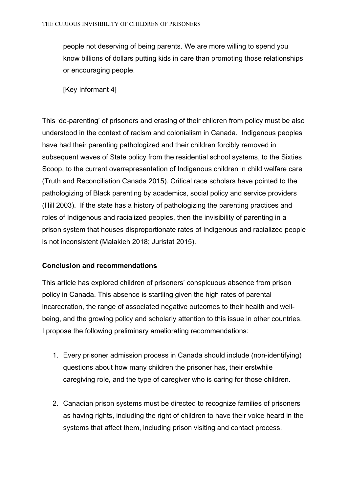people not deserving of being parents. We are more willing to spend you know billions of dollars putting kids in care than promoting those relationships or encouraging people.

[Key Informant 4]

This 'de-parenting' of prisoners and erasing of their children from policy must be also understood in the context of racism and colonialism in Canada. Indigenous peoples have had their parenting pathologized and their children forcibly removed in subsequent waves of State policy from the residential school systems, to the Sixties Scoop, to the current overrepresentation of Indigenous children in child welfare care (Truth and Reconciliation Canada 2015). Critical race scholars have pointed to the pathologizing of Black parenting by academics, social policy and service providers (Hill 2003). If the state has a history of pathologizing the parenting practices and roles of Indigenous and racialized peoples, then the invisibility of parenting in a prison system that houses disproportionate rates of Indigenous and racialized people is not inconsistent (Malakieh 2018; Juristat 2015).

#### **Conclusion and recommendations**

This article has explored children of prisoners' conspicuous absence from prison policy in Canada. This absence is startling given the high rates of parental incarceration, the range of associated negative outcomes to their health and wellbeing, and the growing policy and scholarly attention to this issue in other countries. I propose the following preliminary ameliorating recommendations:

- 1. Every prisoner admission process in Canada should include (non-identifying) questions about how many children the prisoner has, their erstwhile caregiving role, and the type of caregiver who is caring for those children.
- 2. Canadian prison systems must be directed to recognize families of prisoners as having rights, including the right of children to have their voice heard in the systems that affect them, including prison visiting and contact process.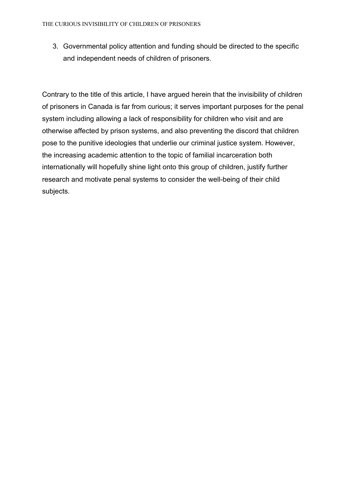3. Governmental policy attention and funding should be directed to the specific and independent needs of children of prisoners.

Contrary to the title of this article, I have argued herein that the invisibility of children of prisoners in Canada is far from curious; it serves important purposes for the penal system including allowing a lack of responsibility for children who visit and are otherwise affected by prison systems, and also preventing the discord that children pose to the punitive ideologies that underlie our criminal justice system. However, the increasing academic attention to the topic of familial incarceration both internationally will hopefully shine light onto this group of children, justify further research and motivate penal systems to consider the well-being of their child subjects.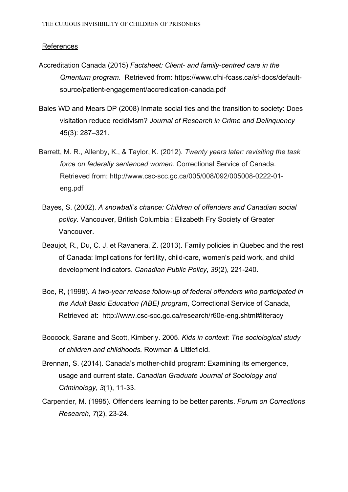#### References

- Accreditation Canada (2015) *Factsheet: Client- and family-centred care in the Qmentum program*. Retrieved from: https://www.cfhi-fcass.ca/sf-docs/defaultsource/patient-engagement/accredication-canada.pdf
- Bales WD and Mears DP (2008) Inmate social ties and the transition to society: Does visitation reduce recidivism? *Journal of Research in Crime and Delinquency*  45(3): 287–321.
- Barrett, M. R., Allenby, K., & Taylor, K. (2012). *Twenty years later: revisiting the task force on federally sentenced women*. Correctional Service of Canada. Retrieved from: http://www.csc-scc.gc.ca/005/008/092/005008-0222-01 eng.pdf
- Bayes, S. (2002). *A snowball's chance: Children of offenders and Canadian social policy.* Vancouver, British Columbia : Elizabeth Fry Society of Greater Vancouver.
- Beaujot, R., Du, C. J. et Ravanera, Z. (2013). Family policies in Quebec and the rest of Canada: Implications for fertility, child-care, women's paid work, and child development indicators. *Canadian Public Policy*, *39*(2), 221-240.
- Boe, R, (1998). *A two-year release follow-up of federal offenders who participated in the Adult Basic Education (ABE) program*, Correctional Service of Canada, Retrieved at: http://www.csc-scc.gc.ca/research/r60e-eng.shtml#literacy
- Boocock, Sarane and Scott, Kimberly. 2005. *Kids in context: The sociological study of children and childhoods.* Rowman & Littlefield.
- Brennan, S. (2014). Canada's mother-child program: Examining its emergence, usage and current state. *Canadian Graduate Journal of Sociology and Criminology*, *3*(1), 11-33.
- Carpentier, M. (1995). Offenders learning to be better parents. *Forum on Corrections Research*, *7*(2), 23-24.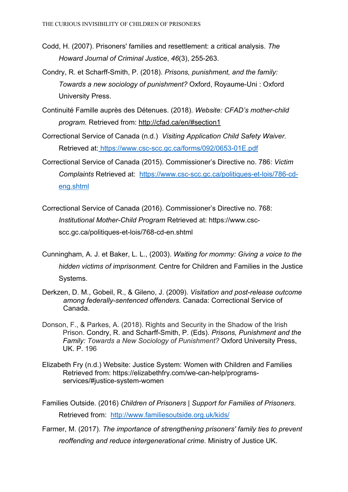- Codd, H. (2007). Prisoners' families and resettlement: a critical analysis. *The Howard Journal of Criminal Justice*, *46*(3), 255-263.
- Condry, R. et Scharff-Smith, P. (2018). *Prisons, punishment, and the family: Towards a new sociology of punishment?* Oxford, Royaume-Uni : Oxford University Press.
- Continuité Famille auprès des Détenues. (2018). *Website: CFAD's mother-child program.* Retrieved from: http://cfad.ca/en/#section1
- Correctional Service of Canada (n.d.) *Visiting Application Child Safety Waiver.* Retrieved at: https://www.csc-scc.gc.ca/forms/092/0653-01E.pdf
- Correctional Service of Canada (2015). Commissioner's Directive no. 786: *Victim Complaints* Retrieved at: https://www.csc-scc.gc.ca/politiques-et-lois/786-cdeng.shtml
- Correctional Service of Canada (2016). Commissioner's Directive no. 768: *Institutional Mother-Child Program* Retrieved at: https://www.cscscc.gc.ca/politiques-et-lois/768-cd-en.shtml
- Cunningham, A. J. et Baker, L. L., (2003). *Waiting for mommy: Giving a voice to the hidden victims of imprisonment.* Centre for Children and Families in the Justice Systems.
- Derkzen, D. M., Gobeil, R., & Gileno, J. (2009). *Visitation and post-release outcome among federally-sentenced offenders.* Canada: Correctional Service of Canada.
- Donson, F., & Parkes, A. (2018). Rights and Security in the Shadow of the Irish Prison. Condry, R. and Scharff-Smith, P. (Eds). *Prisons, Punishment and the Family: Towards a New Sociology of Punishment?* Oxford University Press, UK. P. 196
- Elizabeth Fry (n.d.) Website: Justice System: Women with Children and Families Retrieved from: https://elizabethfry.com/we-can-help/programsservices/#justice-system-women
- Families Outside. (2016) *Children of Prisoners | Support for Families of Prisoners*. Retrieved from: http://www.familiesoutside.org.uk/kids/
- Farmer, M. (2017). *The importance of strengthening prisoners' family ties to prevent reoffending and reduce intergenerational crime.* Ministry of Justice UK.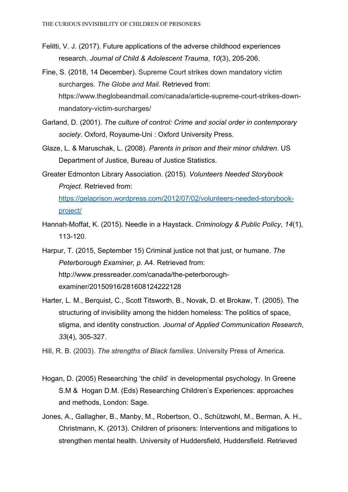- Felitti, V. J. (2017). Future applications of the adverse childhood experiences research. *Journal of Child & Adolescent Trauma*, *10*(3), 205-206.
- Fine, S. (2018, 14 December). Supreme Court strikes down mandatory victim surcharges. *The Globe and Mail.* Retrieved from: https://www.theglobeandmail.com/canada/article-supreme-court-strikes-downmandatory-victim-surcharges/
- Garland, D. (2001). *The culture of control: Crime and social order in contemporary society*. Oxford, Royaume-Uni : Oxford University Press.
- Glaze, L. & Maruschak, L. (2008). *Parents in prison and their minor children*. US Department of Justice, Bureau of Justice Statistics.
- Greater Edmonton Library Association. (2015). *Volunteers Needed Storybook Project.* Retrieved from: https://gelaprison.wordpress.com/2012/07/02/volunteers-needed-storybookproject/
- Hannah-Moffat, K. (2015). Needle in a Haystack. *Criminology & Public Policy*, *14*(1), 113-120.

Harpur, T. (2015, September 15) Criminal justice not that just, or humane. *The Peterborough Examiner, p.* A4. Retrieved from: http://www.pressreader.com/canada/the-peterboroughexaminer/20150916/281608124222128

Harter, L. M., Berquist, C., Scott Titsworth, B., Novak, D. et Brokaw, T. (2005). The structuring of invisibility among the hidden homeless: The politics of space, stigma, and identity construction. *Journal of Applied Communication Research*, *33*(4), 305-327.

Hill, R. B. (2003). *The strengths of Black families*. University Press of America.

- Hogan, D. (2005) Researching 'the child' in developmental psychology. In Greene S.M & Hogan D.M. (Eds) Researching Children's Experiences: approaches and methods, London: Sage.
- Jones, A., Gallagher, B., Manby, M., Robertson, O., Schützwohl, M., Berman, A. H., Christmann, K. (2013). Children of prisoners: Interventions and mitigations to strengthen mental health. University of Huddersfield, Huddersfield. Retrieved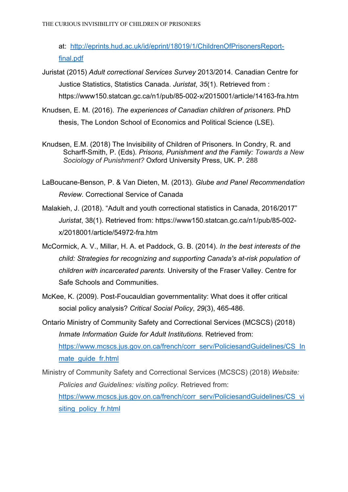at: http://eprints.hud.ac.uk/id/eprint/18019/1/ChildrenOfPrisonersReportfinal.pdf

- Juristat (2015) *Adult correctional Services Survey* 2013/2014. Canadian Centre for Justice Statistics, Statistics Canada. *Juristat*, *35*(1). Retrieved from : https://www150.statcan.gc.ca/n1/pub/85-002-x/2015001/article/14163-fra.htm
- Knudsen, E. M. (2016). *The experiences of Canadian children of prisoners.* PhD thesis, The London School of Economics and Political Science (LSE).
- Knudsen, E.M. (2018) The Invisibility of Children of Prisoners. In Condry, R. and Scharff-Smith, P. (Eds). *Prisons, Punishment and the Family: Towards a New Sociology of Punishment?* Oxford University Press, UK. P. 288
- LaBoucane-Benson, P. & Van Dieten, M. (2013). *Glube and Panel Recommendation Review.* Correctional Service of Canada
- Malakieh, J. (2018). "Adult and youth correctional statistics in Canada, 2016/2017" *Juristat*, 38(1). Retrieved from: https://www150.statcan.gc.ca/n1/pub/85-002 x/2018001/article/54972-fra.htm
- McCormick, A. V., Millar, H. A. et Paddock, G. B. (2014). *In the best interests of the child: Strategies for recognizing and supporting Canada's at-risk population of children with incarcerated parents.* University of the Fraser Valley. Centre for Safe Schools and Communities.
- McKee, K. (2009). Post-Foucauldian governmentality: What does it offer critical social policy analysis? *Critical Social Policy*, *29*(3), 465-486.
- Ontario Ministry of Community Safety and Correctional Services (MCSCS) (2018) *Inmate Information Guide for Adult Institutions.* Retrieved from: https://www.mcscs.jus.gov.on.ca/french/corr\_serv/PoliciesandGuidelines/CS\_In mate\_guide\_fr.html
- Ministry of Community Safety and Correctional Services (MCSCS) (2018) *Website: Policies and Guidelines: visiting policy.* Retrieved from: https://www.mcscs.jus.gov.on.ca/french/corr\_serv/PoliciesandGuidelines/CS\_vi siting policy fr.html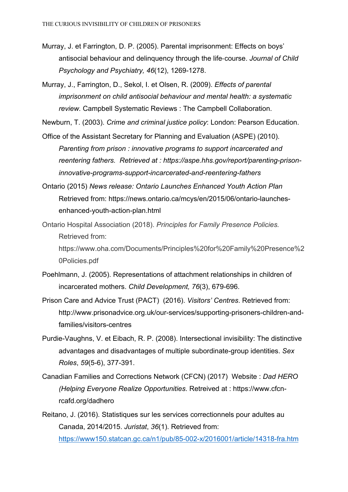- Murray, J. et Farrington, D. P. (2005). Parental imprisonment: Effects on boys' antisocial behaviour and delinquency through the life-course. *Journal of Child Psychology and Psychiatry, 46*(12), 1269-1278.
- Murray, J., Farrington, D., Sekol, I. et Olsen, R. (2009). *Effects of parental imprisonment on child antisocial behaviour and mental health: a systematic review.* Campbell Systematic Reviews : The Campbell Collaboration.

Newburn, T. (2003). *Crime and criminal justice policy*: London: Pearson Education.

- Office of the Assistant Secretary for Planning and Evaluation (ASPE) (2010). *Parenting from prison : innovative programs to support incarcerated and reentering fathers. Retrieved at : https://aspe.hhs.gov/report/parenting-prisoninnovative-programs-support-incarcerated-and-reentering-fathers*
- Ontario (2015) *News release: Ontario Launches Enhanced Youth Action Plan* Retrieved from: https://news.ontario.ca/mcys/en/2015/06/ontario-launchesenhanced-youth-action-plan.html
- Ontario Hospital Association (2018). *Principles for Family Presence Policies.* Retrieved from:

https://www.oha.com/Documents/Principles%20for%20Family%20Presence%2 0Policies.pdf

- Poehlmann, J. (2005). Representations of attachment relationships in children of incarcerated mothers. *Child Development, 76*(3), 679-696.
- Prison Care and Advice Trust (PACT) (2016). *Visitors' Centres*. Retrieved from: http://www.prisonadvice.org.uk/our-services/supporting-prisoners-children-andfamilies/visitors-centres
- Purdie-Vaughns, V. et Eibach, R. P. (2008). Intersectional invisibility: The distinctive advantages and disadvantages of multiple subordinate-group identities. *Sex Roles*, *59*(5-6), 377-391.
- Canadian Families and Corrections Network (CFCN) (2017) Website : *Dad HERO (Helping Everyone Realize Opportunities*. Retreived at : https://www.cfcnrcafd.org/dadhero
- Reitano, J. (2016). Statistiques sur les services correctionnels pour adultes au Canada, 2014/2015. *Juristat*, *36*(1). Retrieved from: https://www150.statcan.gc.ca/n1/pub/85-002-x/2016001/article/14318-fra.htm